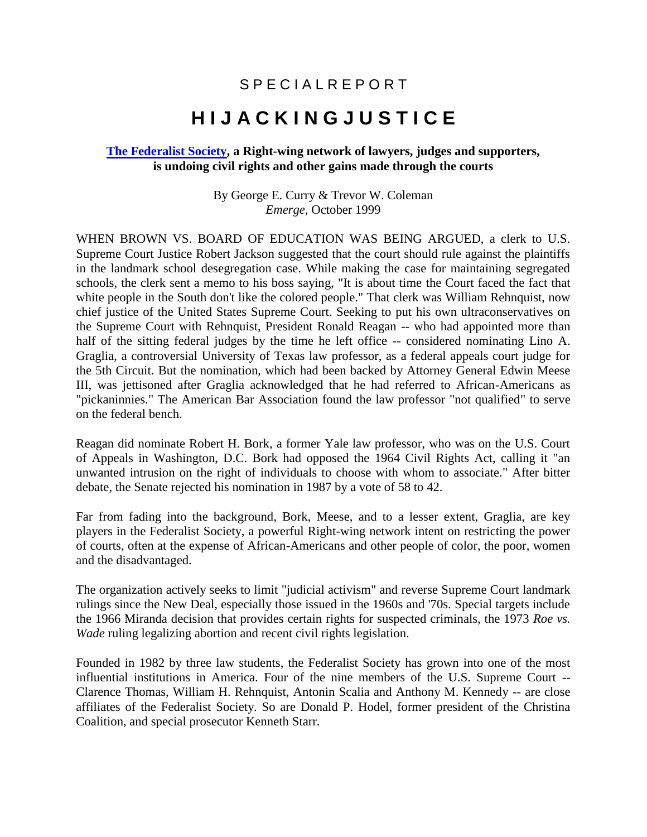## S P E C I A L R E P O R T

## **H I J A C K I N G J U S T I C E**

## **[The Federalist Society,](http://www.fed-soc.org/) a Right-wing network of lawyers, judges and supporters, is undoing civil rights and other gains made through the courts**

By George E. Curry & Trevor W. Coleman *Emerge*, October 1999

WHEN BROWN VS. BOARD OF EDUCATION WAS BEING ARGUED, a clerk to U.S. Supreme Court Justice Robert Jackson suggested that the court should rule against the plaintiffs in the landmark school desegregation case. While making the case for maintaining segregated schools, the clerk sent a memo to his boss saying, "It is about time the Court faced the fact that white people in the South don't like the colored people." That clerk was William Rehnquist, now chief justice of the United States Supreme Court. Seeking to put his own ultraconservatives on the Supreme Court with Rehnquist, President Ronald Reagan -- who had appointed more than half of the sitting federal judges by the time he left office -- considered nominating Lino A. Graglia, a controversial University of Texas law professor, as a federal appeals court judge for the 5th Circuit. But the nomination, which had been backed by Attorney General Edwin Meese III, was jettisoned after Graglia acknowledged that he had referred to African-Americans as "pickaninnies." The American Bar Association found the law professor "not qualified" to serve on the federal bench.

Reagan did nominate Robert H. Bork, a former Yale law professor, who was on the U.S. Court of Appeals in Washington, D.C. Bork had opposed the 1964 Civil Rights Act, calling it "an unwanted intrusion on the right of individuals to choose with whom to associate." After bitter debate, the Senate rejected his nomination in 1987 by a vote of 58 to 42.

Far from fading into the background, Bork, Meese, and to a lesser extent, Graglia, are key players in the Federalist Society, a powerful Right-wing network intent on restricting the power of courts, often at the expense of African-Americans and other people of color, the poor, women and the disadvantaged.

The organization actively seeks to limit "judicial activism" and reverse Supreme Court landmark rulings since the New Deal, especially those issued in the 1960s and '70s. Special targets include the 1966 Miranda decision that provides certain rights for suspected criminals, the 1973 *Roe vs. Wade* ruling legalizing abortion and recent civil rights legislation.

Founded in 1982 by three law students, the Federalist Society has grown into one of the most influential institutions in America. Four of the nine members of the U.S. Supreme Court -- Clarence Thomas, William H. Rehnquist, Antonin Scalia and Anthony M. Kennedy -- are close affiliates of the Federalist Society. So are Donald P. Hodel, former president of the Christina Coalition, and special prosecutor Kenneth Starr.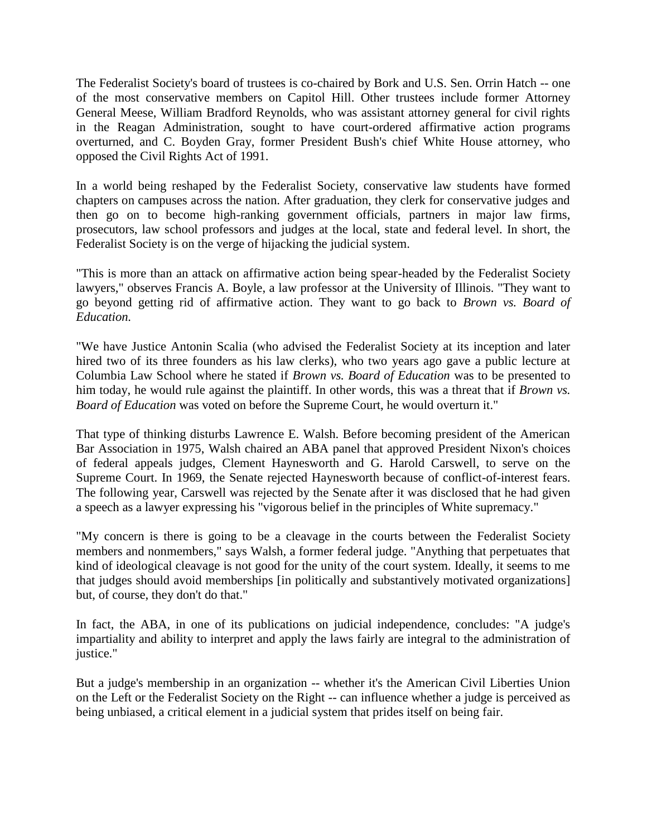The Federalist Society's board of trustees is co-chaired by Bork and U.S. Sen. Orrin Hatch -- one of the most conservative members on Capitol Hill. Other trustees include former Attorney General Meese, William Bradford Reynolds, who was assistant attorney general for civil rights in the Reagan Administration, sought to have court-ordered affirmative action programs overturned, and C. Boyden Gray, former President Bush's chief White House attorney, who opposed the Civil Rights Act of 1991.

In a world being reshaped by the Federalist Society, conservative law students have formed chapters on campuses across the nation. After graduation, they clerk for conservative judges and then go on to become high-ranking government officials, partners in major law firms, prosecutors, law school professors and judges at the local, state and federal level. In short, the Federalist Society is on the verge of hijacking the judicial system.

"This is more than an attack on affirmative action being spear-headed by the Federalist Society lawyers," observes Francis A. Boyle, a law professor at the University of Illinois. "They want to go beyond getting rid of affirmative action. They want to go back to *Brown vs. Board of Education.*

"We have Justice Antonin Scalia (who advised the Federalist Society at its inception and later hired two of its three founders as his law clerks), who two years ago gave a public lecture at Columbia Law School where he stated if *Brown vs. Board of Education* was to be presented to him today, he would rule against the plaintiff. In other words, this was a threat that if *Brown vs. Board of Education* was voted on before the Supreme Court, he would overturn it."

That type of thinking disturbs Lawrence E. Walsh. Before becoming president of the American Bar Association in 1975, Walsh chaired an ABA panel that approved President Nixon's choices of federal appeals judges, Clement Haynesworth and G. Harold Carswell, to serve on the Supreme Court. In 1969, the Senate rejected Haynesworth because of conflict-of-interest fears. The following year, Carswell was rejected by the Senate after it was disclosed that he had given a speech as a lawyer expressing his "vigorous belief in the principles of White supremacy."

"My concern is there is going to be a cleavage in the courts between the Federalist Society members and nonmembers," says Walsh, a former federal judge. "Anything that perpetuates that kind of ideological cleavage is not good for the unity of the court system. Ideally, it seems to me that judges should avoid memberships [in politically and substantively motivated organizations] but, of course, they don't do that."

In fact, the ABA, in one of its publications on judicial independence, concludes: "A judge's impartiality and ability to interpret and apply the laws fairly are integral to the administration of justice."

But a judge's membership in an organization -- whether it's the American Civil Liberties Union on the Left or the Federalist Society on the Right -- can influence whether a judge is perceived as being unbiased, a critical element in a judicial system that prides itself on being fair.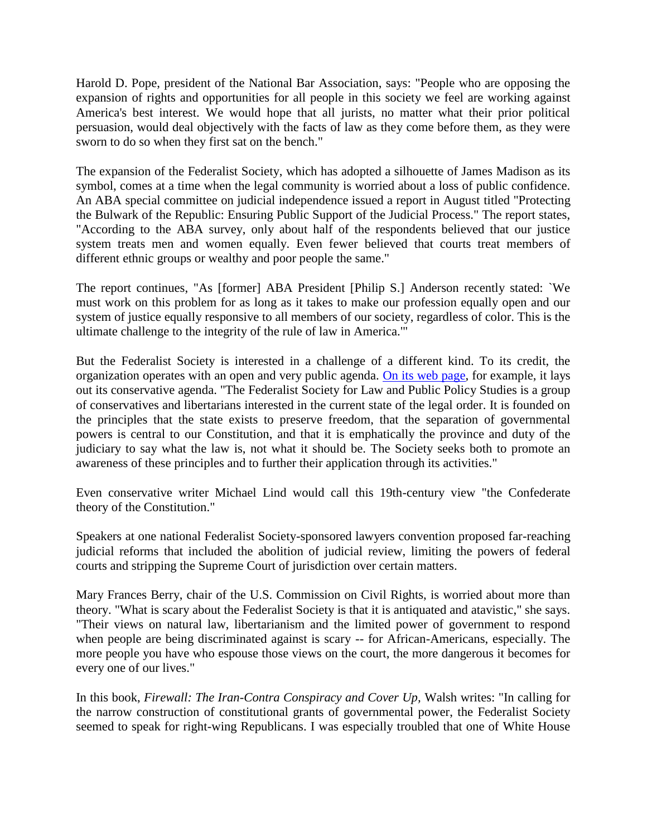Harold D. Pope, president of the National Bar Association, says: "People who are opposing the expansion of rights and opportunities for all people in this society we feel are working against America's best interest. We would hope that all jurists, no matter what their prior political persuasion, would deal objectively with the facts of law as they come before them, as they were sworn to do so when they first sat on the bench."

The expansion of the Federalist Society, which has adopted a silhouette of James Madison as its symbol, comes at a time when the legal community is worried about a loss of public confidence. An ABA special committee on judicial independence issued a report in August titled "Protecting the Bulwark of the Republic: Ensuring Public Support of the Judicial Process." The report states, "According to the ABA survey, only about half of the respondents believed that our justice system treats men and women equally. Even fewer believed that courts treat members of different ethnic groups or wealthy and poor people the same."

The report continues, "As [former] ABA President [Philip S.] Anderson recently stated: `We must work on this problem for as long as it takes to make our profession equally open and our system of justice equally responsive to all members of our society, regardless of color. This is the ultimate challenge to the integrity of the rule of law in America.'"

But the Federalist Society is interested in a challenge of a different kind. To its credit, the organization operates with an open and very public agenda. [On its web page,](http://www.fed-soc.org/) for example, it lays out its conservative agenda. "The Federalist Society for Law and Public Policy Studies is a group of conservatives and libertarians interested in the current state of the legal order. It is founded on the principles that the state exists to preserve freedom, that the separation of governmental powers is central to our Constitution, and that it is emphatically the province and duty of the judiciary to say what the law is, not what it should be. The Society seeks both to promote an awareness of these principles and to further their application through its activities."

Even conservative writer Michael Lind would call this 19th-century view "the Confederate theory of the Constitution."

Speakers at one national Federalist Society-sponsored lawyers convention proposed far-reaching judicial reforms that included the abolition of judicial review, limiting the powers of federal courts and stripping the Supreme Court of jurisdiction over certain matters.

Mary Frances Berry, chair of the U.S. Commission on Civil Rights, is worried about more than theory. "What is scary about the Federalist Society is that it is antiquated and atavistic," she says. "Their views on natural law, libertarianism and the limited power of government to respond when people are being discriminated against is scary -- for African-Americans, especially. The more people you have who espouse those views on the court, the more dangerous it becomes for every one of our lives."

In this book, *Firewall: The Iran-Contra Conspiracy and Cover Up,* Walsh writes: "In calling for the narrow construction of constitutional grants of governmental power, the Federalist Society seemed to speak for right-wing Republicans. I was especially troubled that one of White House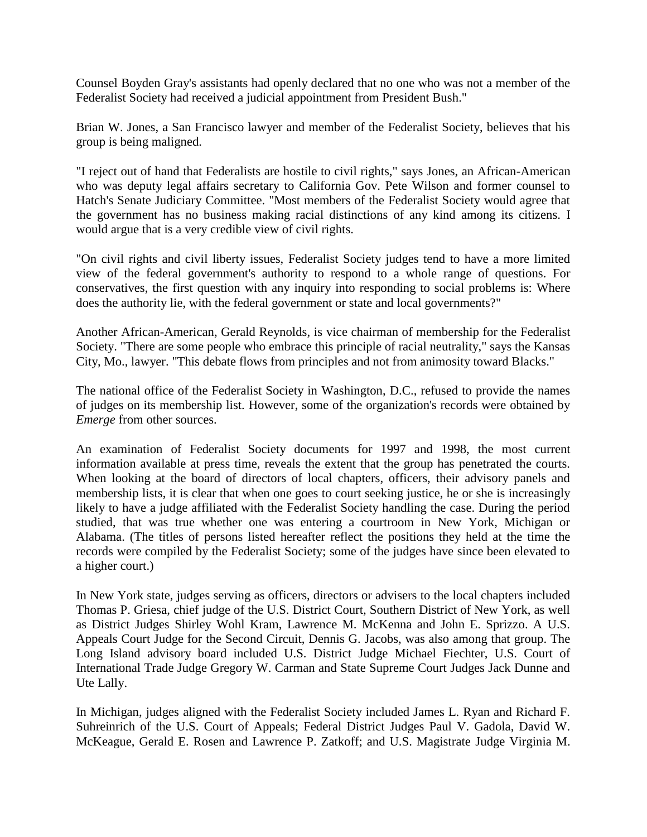Counsel Boyden Gray's assistants had openly declared that no one who was not a member of the Federalist Society had received a judicial appointment from President Bush."

Brian W. Jones, a San Francisco lawyer and member of the Federalist Society, believes that his group is being maligned.

"I reject out of hand that Federalists are hostile to civil rights," says Jones, an African-American who was deputy legal affairs secretary to California Gov. Pete Wilson and former counsel to Hatch's Senate Judiciary Committee. "Most members of the Federalist Society would agree that the government has no business making racial distinctions of any kind among its citizens. I would argue that is a very credible view of civil rights.

"On civil rights and civil liberty issues, Federalist Society judges tend to have a more limited view of the federal government's authority to respond to a whole range of questions. For conservatives, the first question with any inquiry into responding to social problems is: Where does the authority lie, with the federal government or state and local governments?"

Another African-American, Gerald Reynolds, is vice chairman of membership for the Federalist Society. "There are some people who embrace this principle of racial neutrality," says the Kansas City, Mo., lawyer. "This debate flows from principles and not from animosity toward Blacks."

The national office of the Federalist Society in Washington, D.C., refused to provide the names of judges on its membership list. However, some of the organization's records were obtained by *Emerge* from other sources.

An examination of Federalist Society documents for 1997 and 1998, the most current information available at press time, reveals the extent that the group has penetrated the courts. When looking at the board of directors of local chapters, officers, their advisory panels and membership lists, it is clear that when one goes to court seeking justice, he or she is increasingly likely to have a judge affiliated with the Federalist Society handling the case. During the period studied, that was true whether one was entering a courtroom in New York, Michigan or Alabama. (The titles of persons listed hereafter reflect the positions they held at the time the records were compiled by the Federalist Society; some of the judges have since been elevated to a higher court.)

In New York state, judges serving as officers, directors or advisers to the local chapters included Thomas P. Griesa, chief judge of the U.S. District Court, Southern District of New York, as well as District Judges Shirley Wohl Kram, Lawrence M. McKenna and John E. Sprizzo. A U.S. Appeals Court Judge for the Second Circuit, Dennis G. Jacobs, was also among that group. The Long Island advisory board included U.S. District Judge Michael Fiechter, U.S. Court of International Trade Judge Gregory W. Carman and State Supreme Court Judges Jack Dunne and Ute Lally.

In Michigan, judges aligned with the Federalist Society included James L. Ryan and Richard F. Suhreinrich of the U.S. Court of Appeals; Federal District Judges Paul V. Gadola, David W. McKeague, Gerald E. Rosen and Lawrence P. Zatkoff; and U.S. Magistrate Judge Virginia M.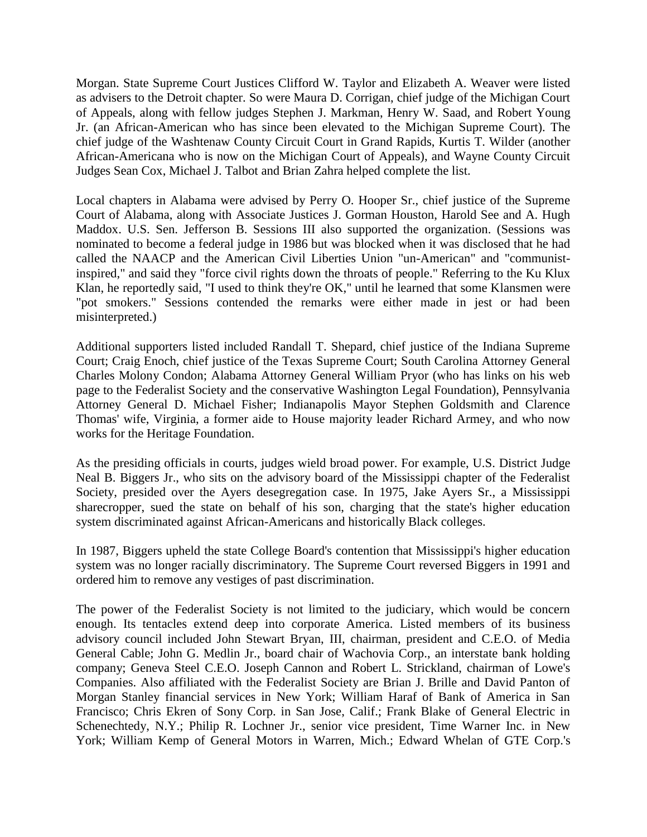Morgan. State Supreme Court Justices Clifford W. Taylor and Elizabeth A. Weaver were listed as advisers to the Detroit chapter. So were Maura D. Corrigan, chief judge of the Michigan Court of Appeals, along with fellow judges Stephen J. Markman, Henry W. Saad, and Robert Young Jr. (an African-American who has since been elevated to the Michigan Supreme Court). The chief judge of the Washtenaw County Circuit Court in Grand Rapids, Kurtis T. Wilder (another African-Americana who is now on the Michigan Court of Appeals), and Wayne County Circuit Judges Sean Cox, Michael J. Talbot and Brian Zahra helped complete the list.

Local chapters in Alabama were advised by Perry O. Hooper Sr., chief justice of the Supreme Court of Alabama, along with Associate Justices J. Gorman Houston, Harold See and A. Hugh Maddox. U.S. Sen. Jefferson B. Sessions III also supported the organization. (Sessions was nominated to become a federal judge in 1986 but was blocked when it was disclosed that he had called the NAACP and the American Civil Liberties Union "un-American" and "communistinspired," and said they "force civil rights down the throats of people." Referring to the Ku Klux Klan, he reportedly said, "I used to think they're OK," until he learned that some Klansmen were "pot smokers." Sessions contended the remarks were either made in jest or had been misinterpreted.)

Additional supporters listed included Randall T. Shepard, chief justice of the Indiana Supreme Court; Craig Enoch, chief justice of the Texas Supreme Court; South Carolina Attorney General Charles Molony Condon; Alabama Attorney General William Pryor (who has links on his web page to the Federalist Society and the conservative Washington Legal Foundation), Pennsylvania Attorney General D. Michael Fisher; Indianapolis Mayor Stephen Goldsmith and Clarence Thomas' wife, Virginia, a former aide to House majority leader Richard Armey, and who now works for the Heritage Foundation.

As the presiding officials in courts, judges wield broad power. For example, U.S. District Judge Neal B. Biggers Jr., who sits on the advisory board of the Mississippi chapter of the Federalist Society, presided over the Ayers desegregation case. In 1975, Jake Ayers Sr., a Mississippi sharecropper, sued the state on behalf of his son, charging that the state's higher education system discriminated against African-Americans and historically Black colleges.

In 1987, Biggers upheld the state College Board's contention that Mississippi's higher education system was no longer racially discriminatory. The Supreme Court reversed Biggers in 1991 and ordered him to remove any vestiges of past discrimination.

The power of the Federalist Society is not limited to the judiciary, which would be concern enough. Its tentacles extend deep into corporate America. Listed members of its business advisory council included John Stewart Bryan, III, chairman, president and C.E.O. of Media General Cable; John G. Medlin Jr., board chair of Wachovia Corp., an interstate bank holding company; Geneva Steel C.E.O. Joseph Cannon and Robert L. Strickland, chairman of Lowe's Companies. Also affiliated with the Federalist Society are Brian J. Brille and David Panton of Morgan Stanley financial services in New York; William Haraf of Bank of America in San Francisco; Chris Ekren of Sony Corp. in San Jose, Calif.; Frank Blake of General Electric in Schenechtedy, N.Y.; Philip R. Lochner Jr., senior vice president, Time Warner Inc. in New York; William Kemp of General Motors in Warren, Mich.; Edward Whelan of GTE Corp.'s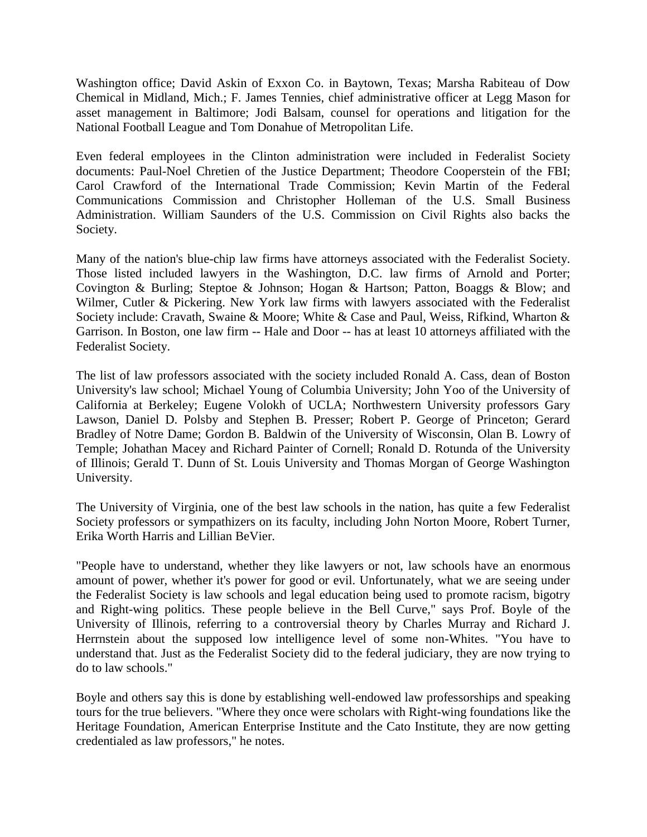Washington office; David Askin of Exxon Co. in Baytown, Texas; Marsha Rabiteau of Dow Chemical in Midland, Mich.; F. James Tennies, chief administrative officer at Legg Mason for asset management in Baltimore; Jodi Balsam, counsel for operations and litigation for the National Football League and Tom Donahue of Metropolitan Life.

Even federal employees in the Clinton administration were included in Federalist Society documents: Paul-Noel Chretien of the Justice Department; Theodore Cooperstein of the FBI; Carol Crawford of the International Trade Commission; Kevin Martin of the Federal Communications Commission and Christopher Holleman of the U.S. Small Business Administration. William Saunders of the U.S. Commission on Civil Rights also backs the Society.

Many of the nation's blue-chip law firms have attorneys associated with the Federalist Society. Those listed included lawyers in the Washington, D.C. law firms of Arnold and Porter; Covington & Burling; Steptoe & Johnson; Hogan & Hartson; Patton, Boaggs & Blow; and Wilmer, Cutler & Pickering. New York law firms with lawyers associated with the Federalist Society include: Cravath, Swaine & Moore; White & Case and Paul, Weiss, Rifkind, Wharton & Garrison. In Boston, one law firm -- Hale and Door -- has at least 10 attorneys affiliated with the Federalist Society.

The list of law professors associated with the society included Ronald A. Cass, dean of Boston University's law school; Michael Young of Columbia University; John Yoo of the University of California at Berkeley; Eugene Volokh of UCLA; Northwestern University professors Gary Lawson, Daniel D. Polsby and Stephen B. Presser; Robert P. George of Princeton; Gerard Bradley of Notre Dame; Gordon B. Baldwin of the University of Wisconsin, Olan B. Lowry of Temple; Johathan Macey and Richard Painter of Cornell; Ronald D. Rotunda of the University of Illinois; Gerald T. Dunn of St. Louis University and Thomas Morgan of George Washington University.

The University of Virginia, one of the best law schools in the nation, has quite a few Federalist Society professors or sympathizers on its faculty, including John Norton Moore, Robert Turner, Erika Worth Harris and Lillian BeVier.

"People have to understand, whether they like lawyers or not, law schools have an enormous amount of power, whether it's power for good or evil. Unfortunately, what we are seeing under the Federalist Society is law schools and legal education being used to promote racism, bigotry and Right-wing politics. These people believe in the Bell Curve," says Prof. Boyle of the University of Illinois, referring to a controversial theory by Charles Murray and Richard J. Herrnstein about the supposed low intelligence level of some non-Whites. "You have to understand that. Just as the Federalist Society did to the federal judiciary, they are now trying to do to law schools."

Boyle and others say this is done by establishing well-endowed law professorships and speaking tours for the true believers. "Where they once were scholars with Right-wing foundations like the Heritage Foundation, American Enterprise Institute and the Cato Institute, they are now getting credentialed as law professors," he notes.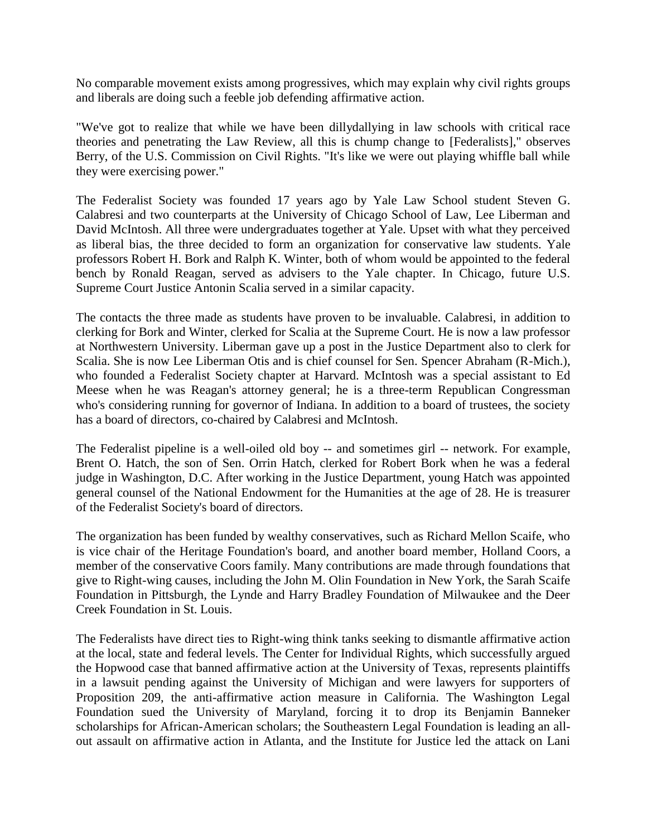No comparable movement exists among progressives, which may explain why civil rights groups and liberals are doing such a feeble job defending affirmative action.

"We've got to realize that while we have been dillydallying in law schools with critical race theories and penetrating the Law Review, all this is chump change to [Federalists]," observes Berry, of the U.S. Commission on Civil Rights. "It's like we were out playing whiffle ball while they were exercising power."

The Federalist Society was founded 17 years ago by Yale Law School student Steven G. Calabresi and two counterparts at the University of Chicago School of Law, Lee Liberman and David McIntosh. All three were undergraduates together at Yale. Upset with what they perceived as liberal bias, the three decided to form an organization for conservative law students. Yale professors Robert H. Bork and Ralph K. Winter, both of whom would be appointed to the federal bench by Ronald Reagan, served as advisers to the Yale chapter. In Chicago, future U.S. Supreme Court Justice Antonin Scalia served in a similar capacity.

The contacts the three made as students have proven to be invaluable. Calabresi, in addition to clerking for Bork and Winter, clerked for Scalia at the Supreme Court. He is now a law professor at Northwestern University. Liberman gave up a post in the Justice Department also to clerk for Scalia. She is now Lee Liberman Otis and is chief counsel for Sen. Spencer Abraham (R-Mich.), who founded a Federalist Society chapter at Harvard. McIntosh was a special assistant to Ed Meese when he was Reagan's attorney general; he is a three-term Republican Congressman who's considering running for governor of Indiana. In addition to a board of trustees, the society has a board of directors, co-chaired by Calabresi and McIntosh.

The Federalist pipeline is a well-oiled old boy -- and sometimes girl -- network. For example, Brent O. Hatch, the son of Sen. Orrin Hatch, clerked for Robert Bork when he was a federal judge in Washington, D.C. After working in the Justice Department, young Hatch was appointed general counsel of the National Endowment for the Humanities at the age of 28. He is treasurer of the Federalist Society's board of directors.

The organization has been funded by wealthy conservatives, such as Richard Mellon Scaife, who is vice chair of the Heritage Foundation's board, and another board member, Holland Coors, a member of the conservative Coors family. Many contributions are made through foundations that give to Right-wing causes, including the John M. Olin Foundation in New York, the Sarah Scaife Foundation in Pittsburgh, the Lynde and Harry Bradley Foundation of Milwaukee and the Deer Creek Foundation in St. Louis.

The Federalists have direct ties to Right-wing think tanks seeking to dismantle affirmative action at the local, state and federal levels. The Center for Individual Rights, which successfully argued the Hopwood case that banned affirmative action at the University of Texas, represents plaintiffs in a lawsuit pending against the University of Michigan and were lawyers for supporters of Proposition 209, the anti-affirmative action measure in California. The Washington Legal Foundation sued the University of Maryland, forcing it to drop its Benjamin Banneker scholarships for African-American scholars; the Southeastern Legal Foundation is leading an allout assault on affirmative action in Atlanta, and the Institute for Justice led the attack on Lani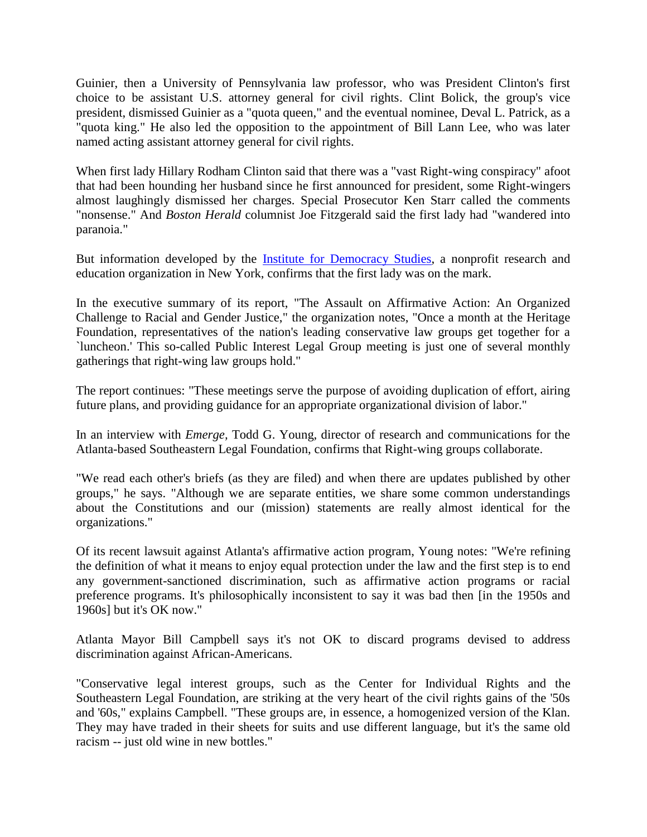Guinier, then a University of Pennsylvania law professor, who was President Clinton's first choice to be assistant U.S. attorney general for civil rights. Clint Bolick, the group's vice president, dismissed Guinier as a "quota queen," and the eventual nominee, Deval L. Patrick, as a "quota king." He also led the opposition to the appointment of Bill Lann Lee, who was later named acting assistant attorney general for civil rights.

When first lady Hillary Rodham Clinton said that there was a "vast Right-wing conspiracy" afoot that had been hounding her husband since he first announced for president, some Right-wingers almost laughingly dismissed her charges. Special Prosecutor Ken Starr called the comments "nonsense." And *Boston Herald* columnist Joe Fitzgerald said the first lady had "wandered into paranoia."

But information developed by the Institute for [Democracy Studies,](http://www.institutefordemocracy.org/) a nonprofit research and education organization in New York, confirms that the first lady was on the mark.

In the executive summary of its report, "The Assault on Affirmative Action: An Organized Challenge to Racial and Gender Justice," the organization notes, "Once a month at the Heritage Foundation, representatives of the nation's leading conservative law groups get together for a `luncheon.' This so-called Public Interest Legal Group meeting is just one of several monthly gatherings that right-wing law groups hold."

The report continues: "These meetings serve the purpose of avoiding duplication of effort, airing future plans, and providing guidance for an appropriate organizational division of labor."

In an interview with *Emerge,* Todd G. Young, director of research and communications for the Atlanta-based Southeastern Legal Foundation, confirms that Right-wing groups collaborate.

"We read each other's briefs (as they are filed) and when there are updates published by other groups," he says. "Although we are separate entities, we share some common understandings about the Constitutions and our (mission) statements are really almost identical for the organizations."

Of its recent lawsuit against Atlanta's affirmative action program, Young notes: "We're refining the definition of what it means to enjoy equal protection under the law and the first step is to end any government-sanctioned discrimination, such as affirmative action programs or racial preference programs. It's philosophically inconsistent to say it was bad then [in the 1950s and 1960s] but it's OK now."

Atlanta Mayor Bill Campbell says it's not OK to discard programs devised to address discrimination against African-Americans.

"Conservative legal interest groups, such as the Center for Individual Rights and the Southeastern Legal Foundation, are striking at the very heart of the civil rights gains of the '50s and '60s," explains Campbell. "These groups are, in essence, a homogenized version of the Klan. They may have traded in their sheets for suits and use different language, but it's the same old racism -- just old wine in new bottles."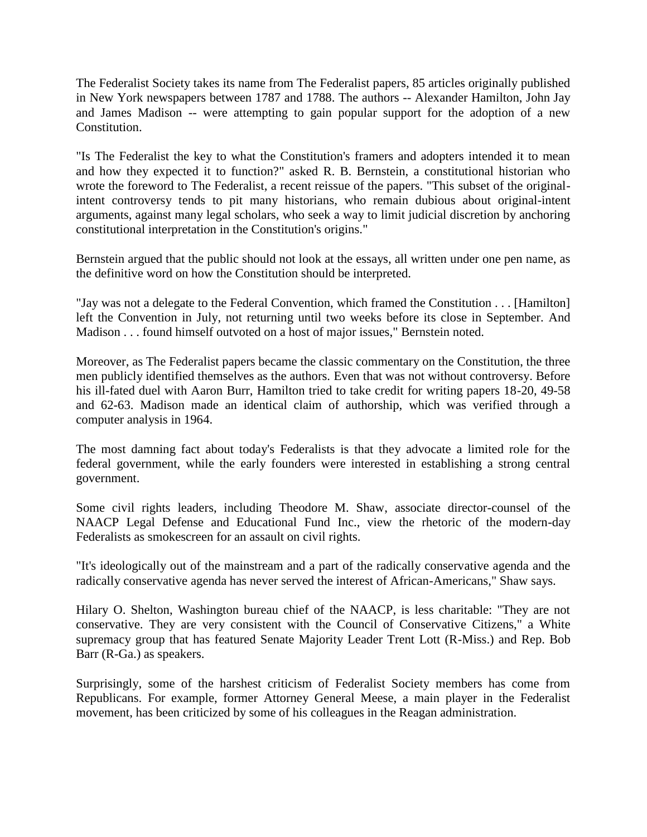The Federalist Society takes its name from The Federalist papers, 85 articles originally published in New York newspapers between 1787 and 1788. The authors -- Alexander Hamilton, John Jay and James Madison -- were attempting to gain popular support for the adoption of a new Constitution.

"Is The Federalist the key to what the Constitution's framers and adopters intended it to mean and how they expected it to function?" asked R. B. Bernstein, a constitutional historian who wrote the foreword to The Federalist, a recent reissue of the papers. "This subset of the originalintent controversy tends to pit many historians, who remain dubious about original-intent arguments, against many legal scholars, who seek a way to limit judicial discretion by anchoring constitutional interpretation in the Constitution's origins."

Bernstein argued that the public should not look at the essays, all written under one pen name, as the definitive word on how the Constitution should be interpreted.

"Jay was not a delegate to the Federal Convention, which framed the Constitution . . . [Hamilton] left the Convention in July, not returning until two weeks before its close in September. And Madison . . . found himself outvoted on a host of major issues," Bernstein noted.

Moreover, as The Federalist papers became the classic commentary on the Constitution, the three men publicly identified themselves as the authors. Even that was not without controversy. Before his ill-fated duel with Aaron Burr, Hamilton tried to take credit for writing papers 18-20, 49-58 and 62-63. Madison made an identical claim of authorship, which was verified through a computer analysis in 1964.

The most damning fact about today's Federalists is that they advocate a limited role for the federal government, while the early founders were interested in establishing a strong central government.

Some civil rights leaders, including Theodore M. Shaw, associate director-counsel of the NAACP Legal Defense and Educational Fund Inc., view the rhetoric of the modern-day Federalists as smokescreen for an assault on civil rights.

"It's ideologically out of the mainstream and a part of the radically conservative agenda and the radically conservative agenda has never served the interest of African-Americans," Shaw says.

Hilary O. Shelton, Washington bureau chief of the NAACP, is less charitable: "They are not conservative. They are very consistent with the Council of Conservative Citizens," a White supremacy group that has featured Senate Majority Leader Trent Lott (R-Miss.) and Rep. Bob Barr (R-Ga.) as speakers.

Surprisingly, some of the harshest criticism of Federalist Society members has come from Republicans. For example, former Attorney General Meese, a main player in the Federalist movement, has been criticized by some of his colleagues in the Reagan administration.